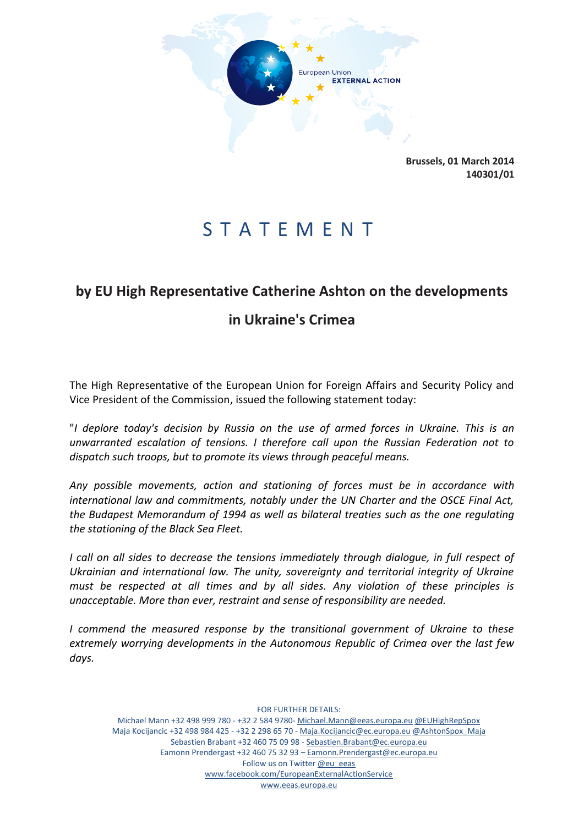

**Brussels, 01 March 2014 140301/01**

## S T A T E M E N T

## **by EU High Representative Catherine Ashton on the developments**

## **in Ukraine's Crimea**

The High Representative of the European Union for Foreign Affairs and Security Policy and Vice President of the Commission, issued the following statement today:

"*I deplore today's decision by Russia on the use of armed forces in Ukraine. This is an unwarranted escalation of tensions. I therefore call upon the Russian Federation not to dispatch such troops, but to promote its views through peaceful means.* 

*Any possible movements, action and stationing of forces must be in accordance with international law and commitments, notably under the UN Charter and the OSCE Final Act, the Budapest Memorandum of 1994 as well as bilateral treaties such as the one regulating the stationing of the Black Sea Fleet.* 

*I call on all sides to decrease the tensions immediately through dialogue, in full respect of Ukrainian and international law. The unity, sovereignty and territorial integrity of Ukraine must be respected at all times and by all sides. Any violation of these principles is unacceptable. More than ever, restraint and sense of responsibility are needed.*

*I commend the measured response by the transitional government of Ukraine to these extremely worrying developments in the Autonomous Republic of Crimea over the last few days.*

FOR FURTHER DETAILS: Michael Mann +32 498 999 780 - +32 2 584 9780- Michael.Mann@eeas.europa.eu @EUHighRepSpox Maja Kocijancic +32 498 984 425 - +32 2 298 65 70 - Maja.Kocijancic@ec.europa.eu @AshtonSpox\_Maja Sebastien Brabant +32 460 75 09 98 - Sebastien.Brabant@ec.europa.eu Eamonn Prendergast +32 460 75 32 93 – Eamonn.Prendergast@ec.europa.eu Follow us on Twitter @eu\_eeas www.facebook.com/EuropeanExternalActionService www.eeas.europa.eu